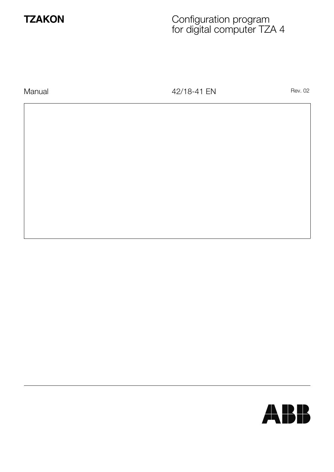

# **TZAKON** Configuration program for digital computer TZA 4

Manual **Manual** Rev. 02

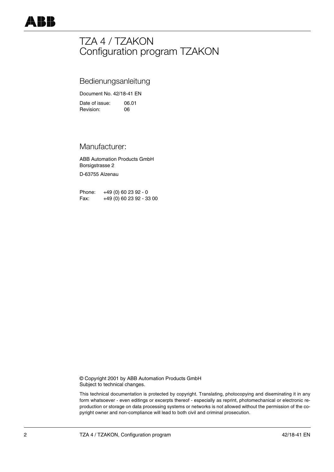# TZA 4 / TZAKON Configuration program TZAKON

# Bedienungsanleitung

Document No. 42/18-41 EN

Date of issue: 06.01<br>
Revision: 06 Revision:

# Manufacturer:

ABB Automation Products GmbH Borsigstrasse 2

D-63755 Alzenau

Phone: +49 (0) 60 23 92 - 0 Fax: +49 (0) 60 23 92 - 33 00

© Copyright 2001 by ABB Automation Products GmbH Subject to technical changes.

This technical documentation is protected by copyright. Translating, photocopying and diseminating it in any form whatsoever - even editings or excerpts thereof - especially as reprint, photomechanical or electronic reproduction or storage on data processing systems or networks is not allowed without the permission of the copyright owner and non-compliance will lead to both civil and criminal prosecution.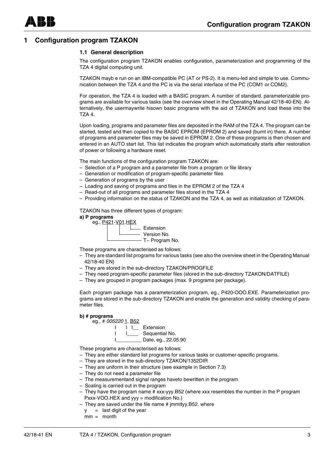# **1 Configuration program TZAKON**

#### **1.1 General description**

The configuration program TZAKON enables configuration, parameterization and programming of the TZA 4 digital computing unit.

TZAKON mayb e run on an IBM-compatible PC (AT or PS-2). It is menu-led and simple to use. Communication between the TZA 4 and the PC is via the serial interface of the PC (COM1 or COM2).

For operation, the TZA 4 is loaded with a BASIC program. A number of standard, parameterizable programs are available for various tasks (see the overview sheet in the Operating Manual 42/18-40-EN). Alternatively, the usermaywrite hisown basic programs with the aid of TZAKON and load these into the TZA 4.

Upon loading, programs and parameter files are deposited in the RAM of the TZA 4. The program can be started, tested and then copied to the BASIC EPROM (EPROM 2) and saved (burnt in) there. A number of programs and parameter files may be saved in EPROM 2. One of these programs is then chosen and entered in an AUTO start list. This list indicates the program which automatically starts after restoration of power or following a hardware reset.

The main functions of the configuration program TZAKON are:

- Selection of a P program and a parameter file from a program or file library
- Generation or modification of program-specific parameter files
- Generation of programs by the user
- Loading and saving of programs and files in the EPROM 2 of the TZA 4
- Read-out of all programs and parameter files stored in the TZA 4
- Providing information on the status of TZAKON and the TZA 4, as well as initialization of TZAKON.

TZAKON has three different types of program:





These programs are characterised as follows:

- They are standard list programs for various tasks (see also the overview sheet in the Operating Manual 42/18-40 EN)
- They are stored in the sub-directory TZAKON/PROGFILE
- They need program-specific parameter files (stored in the sub-directory TZAKON/DATFILE)
- They are grouped in program packages (max. 9 programs per package).

Each program package has a parameterization program, eg., P420-OOO.EXE. Parameterization programs are stored in the sub-directory TZAKON and enable the generation and validity checking of parameter files.

#### **b) # programs**





These programs are characterised as follows:

- They are either standard list programs for various tasks or customer-specific programs.
- They are stored in the sub-directory TZAKON/1352DIR
- They are uniform in their structure (see example in Section 7.3)
- They do not need a parameter file
- The measurementand signal ranges haveto bewritten in the program
- Scaling is carried out in the program
- They have the program name # xxx-yyy.B52 (where xxx resembles the number in the P program Pxxx-VOO.HEX and yyy = modification No.)
- $-$  They are saved under the file name  $#$  jmmttyy. B52. where
	- $y =$  last digit of the year
	- $mm =$  month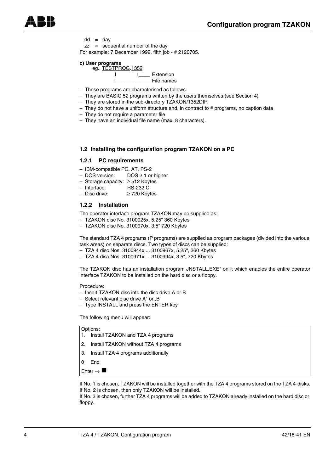$dd = day$ 

zz = sequential number of the day For example: 7 December 1992, fifth job - # 2120705.

#### **c) User programs**



- These programs are characterised as follows:
- They are BASIC 52 programs written by the users themselves (see Section 4)
- They are stored in the sub-directory TZAKON/1352DIR
- They do not have a uniform structure and, in contract to # programs, no caption data
- They do not require a parameter file
- They have an individual file name (max. 8 characters).

#### **1.2 Installing the configuration program TZAKON on a PC**

#### **1.2.1 PC requirements**

- IBM-compatible PC, AT, PS-2
- DOS version: DOS 2.1 or higher
- Storage capacity: ≥ 512 Kbytes
- Interface: RS-232 C
- Disc drive: ≥ 720 Kbytes

### **1.2.2 Installation**

The operator interface program TZAKON may be supplied as:

- TZAKON disc No. 3100925x, 5.25" 360 Kbytes
- TZAKON disc No. 3100970x, 3.5" 720 Kbytes

The standard TZA 4 programs (P programs) are supplied as program packages (divided into the various task areas) on separate discs. Two types of discs can be supplied:

- TZA 4 disc Nos. 3100944x ... 3100967x, 5.25", 360 Kbytes
- TZA 4 disc Nos. 3100971x ... 3100994x, 3.5", 720 Kbytes

The TZAKON disc has an installation program JNSTALL.EXE" on it which enables the entire operator interface TZAKON to be installed on the hard disc or a floppy.

Procedure:

- Insert TZAKON disc into the disc drive A or B
- Select relevant disc drive A" or,,B"
- Type INSTALL and press the ENTER key

The following menu will appear:

#### Options:

- 1. Install TZAKON and TZA 4 programs
- 2. Install TZAKON without TZA 4 programs
- 3. Install TZA 4 programs additionally
- 0 End

Enter  $\rightarrow \blacksquare$ 

If No. 1 is chosen, TZAKON will be installed together with the TZA 4 programs stored on the TZA 4-disks. If No. 2 is chosen, then only TZAKON will be installed.

If No. 3 is chosen, further TZA 4 programs will be added to TZAKON already installed on the hard disc or floppy.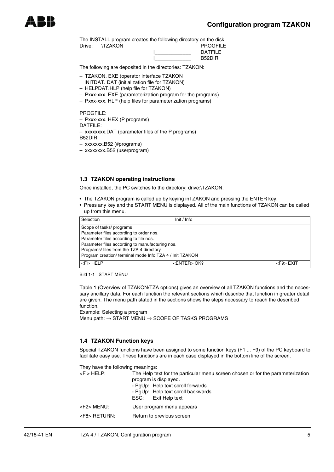The INSTALL program creates the following directory on the disk:

| Drive: | <b>ITZAKON</b> | <b>PROGFILE</b> |
|--------|----------------|-----------------|
|        |                | <b>DATFILE</b>  |
|        |                | <b>B52DIR</b>   |

The following are deposited in the directories: TZAKON:

- TZAKON. EXE (operator interface TZAKON INITDAT. DAT (initialization file for TZAKON)
- HELPDAT.HLP (help file for TZAKON)
- Pxxx-xxx. EXE (parameterization program for the programs)
- Pxxx-xxx. HLP (help files for parameterization programs)

PROGFILE:

– Pxxx-xxx. HEX (P programs)

DATFILE:

– xxxxxxxx.DAT (parameter files of the P programs) B52DIR

– xxxxxxx.B52 (#programs)

– xxxxxxxx.B52 (userprogram)

#### **1.3 TZAKON operating instructions**

Once installed, the PC switches to the directory: drive:\TZAKON.

- The TZAKON program is called up by keying inTZAKON and pressing the ENTER key.
- Press any key and the START MENU is displayed. All of the main functions of TZAKON can be called up from this menu.

| Selection                                                | Init / Info                             |                 |  |  |  |  |
|----------------------------------------------------------|-----------------------------------------|-----------------|--|--|--|--|
| Scope of tasks/ programs                                 |                                         |                 |  |  |  |  |
|                                                          | Parameter files according to order nos. |                 |  |  |  |  |
| Parameter files according to file nos.                   |                                         |                 |  |  |  |  |
| Parameter files according to manufacturing nos.          |                                         |                 |  |  |  |  |
| Programs/files from the TZA 4 directory                  |                                         |                 |  |  |  |  |
| Program creation/ terminal mode Info TZA 4 / Init TZAKON |                                         |                 |  |  |  |  |
| $\vert$ <fi> HELP</fi>                                   | <enter> OK?</enter>                     | $<$ F9 $>$ EXIT |  |  |  |  |

Bild 1-1 START MENU

Table 1 (Overview of TZAKON/TZA options) gives an overview of all TZAKON functions and the necessary ancillary data. For each function the relevant sections which describe that function in greater detail are given. The menu path stated in the sections shows the steps necessary to reach the described function.

Example: Selecting a program Menu path: → START MENU → SCOPE OF TASKS PROGRAMS

#### **1.4 TZAKON Function keys**

Special TZAKON functions have been assigned to some function keys (F1 ... F9) of the PC keyboard to facilitate easy use. These functions are in each case displayed in the bottom line of the screen.

| They have the following meanings: |                                                                                                                                                                                                               |
|-----------------------------------|---------------------------------------------------------------------------------------------------------------------------------------------------------------------------------------------------------------|
| <fl> HELP:</fl>                   | The Help text for the particular menu screen chosen or for the parameterization<br>program is displayed.<br>- PqUp: Help text scroll forwards<br>- PqUp: Help text scroll backwards<br>ESC:<br>Exit Help text |
| <f2> MENU:</f2>                   | User program menu appears                                                                                                                                                                                     |
| <f8> RETURN:</f8>                 | Return to previous screen                                                                                                                                                                                     |
|                                   |                                                                                                                                                                                                               |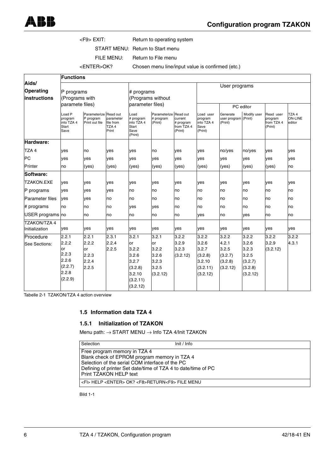### <F9> EXIT: Return to operating system

START MENU: Return to Start menu

FILE MENU: Return to File menu

<ENTER>OK? Chosen menu line/input value is confirmed (etc.)

|                                    | <b>Functions</b>                                 |                                                      |                                                     |                                                             |                                               |                                               |                                                       |                                             |                |                                               |                                   |
|------------------------------------|--------------------------------------------------|------------------------------------------------------|-----------------------------------------------------|-------------------------------------------------------------|-----------------------------------------------|-----------------------------------------------|-------------------------------------------------------|---------------------------------------------|----------------|-----------------------------------------------|-----------------------------------|
| Aids/<br>Operating<br>instructions | P programs<br>(Programs with<br>paramete files)  |                                                      | # programs<br>(Programs without<br>parameter files) |                                                             | User programs                                 |                                               |                                                       |                                             |                |                                               |                                   |
|                                    |                                                  |                                                      |                                                     |                                                             |                                               | PC editor                                     |                                                       |                                             |                |                                               |                                   |
|                                    | Load P<br>program<br>into TZA 4<br>Start<br>Save | Parameterize Read out<br>P program<br>Print out file | parameter<br>file from<br>TZA <sub>4</sub><br>Print | Load<br># program<br>into TZA 4<br>Start<br>Save<br>(Print) | Parameterize Read out<br># program<br>(Print) | current<br># program<br>from TZA 4<br>(Print) | Load user<br>program<br>into TZA 4<br>Save<br>(Print) | Generate<br>user program (Print)<br>(Print) | Modify user    | Read user<br>program<br>from TZA 4<br>(Print) | TZA 4<br><b>ON-LINE</b><br>editor |
| Hardware:                          |                                                  |                                                      |                                                     |                                                             |                                               |                                               |                                                       |                                             |                |                                               |                                   |
| TZA4                               | ves                                              | no                                                   | ves                                                 | yes                                                         | no                                            | yes                                           | yes                                                   | no/yes                                      | no/yes         | ves                                           | ves                               |
| <b>PC</b>                          | ves                                              | ves                                                  | ves                                                 | ves                                                         | ves                                           | yes                                           | ves                                                   | ves                                         | ves            | yes                                           | ves                               |
| Printer                            | no                                               | (yes)                                                | (yes)                                               | (yes)                                                       | (yes)                                         | (yes)                                         | (yes)                                                 | (yes)                                       | (yes)          | (yes)                                         | no                                |
| Software:                          |                                                  |                                                      |                                                     |                                                             |                                               |                                               |                                                       |                                             |                |                                               |                                   |
| <b>TZAKON.EXE</b>                  | ves                                              | ves                                                  | ves                                                 | ves                                                         | ves                                           | yes                                           | ves                                                   | ves                                         | ves            | ves                                           | ves                               |
| P programs                         | ves                                              | ves                                                  | yes                                                 | no                                                          | no                                            | no                                            | no                                                    | no                                          | no             | no                                            | no                                |
| <b>Parameter files</b>             | ves                                              | ves                                                  | no                                                  | no                                                          | no                                            | no                                            | no                                                    | no                                          | no             | no                                            | no                                |
| # programs                         | lno                                              | no                                                   | no                                                  | ves                                                         | ves                                           | no                                            | no                                                    | no                                          | no             | no                                            | no                                |
| USER programs no                   |                                                  | no                                                   | no                                                  | no                                                          | no                                            | no                                            | ves                                                   | no                                          | yes            | no                                            | no                                |
| <b>TZAKON/TZA 4</b>                |                                                  |                                                      |                                                     |                                                             |                                               |                                               |                                                       |                                             |                |                                               |                                   |
| Initialization                     | yes                                              | yes                                                  | ves                                                 | yes                                                         | yes                                           | yes                                           | yes                                                   | yes                                         | yes            | yes                                           | yes                               |
| Procedure                          | 2.2.1                                            | 2.2.1                                                | 2.3.1                                               | 3.2.1                                                       | 3.2.1                                         | 3.2.2                                         | 3.2.2                                                 | 3.2.2                                       | 3.2.2          | 3.2.2                                         | 3.2.2                             |
| See Sections:                      | 2.2.2<br>or                                      | 2.2.2                                                | 2.2.4                                               | or<br>3.2.2                                                 | or<br>3.2.2                                   | 3.2.9                                         | 3.2.6<br>3.2.7                                        | 4.2.1                                       | 3.2.6          | 3.2.9                                         | 4.3.1                             |
|                                    | 2.2.3                                            | or<br>2.2.3                                          | 2.2.5                                               | 3.2.6                                                       | 3.2.6                                         | 3.2.3<br>(3.2.12)                             | (3.2.8)                                               | 3.2.5<br>(3.2.7)                            | 3.2.3<br>3.2.5 | (3.2.12)                                      |                                   |
|                                    | 2.2.6                                            | 2.2.4                                                |                                                     | 3.2.7                                                       | 3.2.3                                         |                                               | 3.2.10                                                | (3.2.8)                                     | (3.2.7)        |                                               |                                   |
|                                    | (2.2.7)                                          | 2.2.5                                                |                                                     | (3.2.8)                                                     | 3.2.5                                         |                                               | (3.2.11)                                              | (3.2.12)                                    | (3.2.8)        |                                               |                                   |
|                                    | 2.2.8                                            |                                                      |                                                     | 3.2.10                                                      | (3.2.12)                                      |                                               | (3.2.12)                                              |                                             | (3.2.12)       |                                               |                                   |
|                                    | (2.2.9)                                          |                                                      |                                                     | (3.2.11)<br>(3.2.12)                                        |                                               |                                               |                                                       |                                             |                |                                               |                                   |

Tabelle 2-1 TZAKON/TZA 4 action overview

#### **1.5 Information data TZA 4**

## **1.5.1 Initialization of TZAKON**

Menu path: → START MENU → Info TZA 4/Init TZAKON

Selection Init / Info

Free program memory in TZA 4 Blank check of EPROM program memory in TZA 4 Selection of the serial COM interface of the PC Defining of printer Set date/time of TZA 4 to date/time of PC Print TZAKON HELP text

<Fl> HELP <ENTER> OK? <F8>RETURN<F9> FILE MENU

Bild 1-1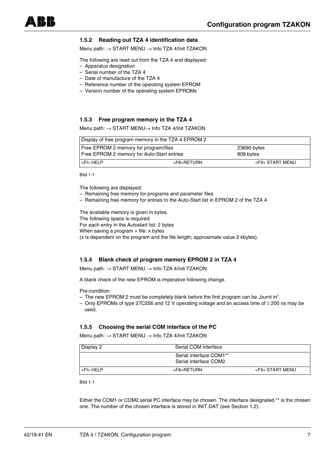## **1.5.2 Reading out TZA 4 identification data**

Menu path: → START MENU → Info TZA 4/Init TZAKON

The following are read out from the TZA 4 and displayed:

- Apparatus designation
- Serial number of the TZA 4
- Date of manufacture of the TZA 4
- Reference number of the operating system EPROM
- Version number of the operating system EPROMs

#### **1.5.3 Free program memory in the TZA 4**

Menu path: → START MENU→ Info TZA 4/Init TZAKON

| Display of free program memory in the TZA 4 EPROM 2                                 |                 |                          |  |  |
|-------------------------------------------------------------------------------------|-----------------|--------------------------|--|--|
| Free EPROM 2 memory for program/files<br>Free EPROM 2 memory for Auto-Start entries |                 | 23690 bytes<br>808 bytes |  |  |
| $<$ FI $>$ HELP                                                                     | <f8>RETURN</f8> | <f9> START MENU</f9>     |  |  |

Bild 1-1

The following are displayed:

– Remaining free memory for programs and parameter files

– Remaining free memory for entries to the Auto-Start list in EPROM 2 of the TZA 4

The available memory is given in bytes.

The following space is required:

For each entry in the Autostart list: 2 bytes

When saving a program  $+$  file: x bytes

(x is dependent on the program and the file length; approximate value 2 kbytes).

#### **1.5.4 Blank check of program memory EPROM 2 in TZA 4**

Menu path: → START MENU → Info TZA 4/Init TZAKON

A blank check of the new EPROM is imperative following change.

Pre-condition:

- The new EPROM 2 must be completely blank before the first program can be "burnt in".
- Only EPROMs of type 27C256 and 12 V operating voltage and an access time of ≤ 200 ns may be used.

#### **1.5.5 Choosing the serial COM interface of the PC**

Menu path: → START MENU → Info TZA 4/Init TZAKON

| Display 2                   | Serial COM interface                             |                      |
|-----------------------------|--------------------------------------------------|----------------------|
|                             | Serial interface COM1**<br>Serial interface COM2 |                      |
| $\mathsf{l}$ <fi> HELP</fi> | <f8>RETURN</f8>                                  | <f9> START MENU</f9> |

Bild 1-1

Either the COM1 or COM2 serial PC interface may be chosen. The interface designated \*\* is the chosen one. The number of the chosen interface is stored in INIT.DAT (see Section 1.2).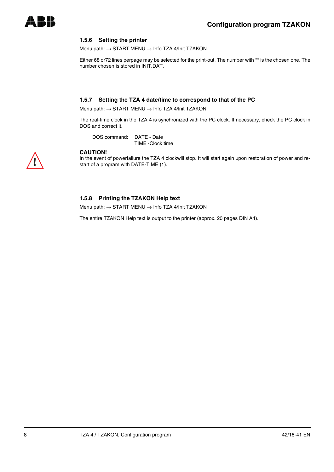## **1.5.6 Setting the printer**

Menu path: → START MENU → Info TZA 4/Init TZAKON

Either 68 or72 lines perpage may be selected for the print-out. The number with \*\* is the chosen one. The number chosen is stored in INIT.DAT.

#### **1.5.7 Setting the TZA 4 date/time to correspond to that of the PC**

Menu path: → START MENU → Info TZA 4/lnit TZAKON

The real-time clock in the TZA 4 is synchronized with the PC clock. If necessary, check the PC clock in DOS and correct it.

DOS command: DATE - Date

TIME -Clock time



#### **CAUTION!**

In the event of powerfailure the TZA 4 clockwill stop. It will start again upon restoration of power and restart of a program with DATE-TIME (1).

#### **1.5.8 Printing the TZAKON Help text**

Menu path: → START MENU → Info TZA 4/Init TZAKON

The entire TZAKON Help text is output to the printer (approx. 20 pages DIN A4).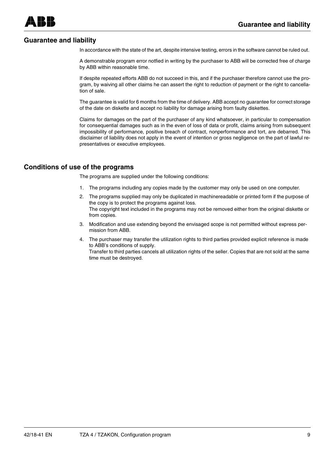# **Guarantee and liability**

In accordance with the state of the art, despite intensive testing, errors in the software cannot be ruled out.

A demonstrable program error notfied in writing by the purchaser to ABB will be corrected free of charge by ABB within reasonable time.

If despite repeated efforts ABB do not succeed in this, and if the purchaser therefore cannot use the program, by waiving all other claims he can assert the right to reduction of payment or the right to cancellation of sale.

The guarantee is valid for 6 months from the time of delivery. ABB accept no guarantee for correct storage of the date on diskette and accept no liability for damage arising from faulty diskettes.

Claims for damages on the part of the purchaser of any kind whatsoever, in particular to compensation for consequential damages such as in the even of loss of data or profit, claims arising from subsequent impossibility of performance, positive breach of contract, nonperformance and tort, are debarred. This disclaimer of liability does not apply in the event of intention or gross negligence on the part of lawful representatives or executive employees.

# **Conditions of use of the programs**

The programs are supplied under the following conditions:

- 1. The programs including any copies made by the customer may only be used on one computer.
- 2. The programs supplied may only be duplicated in machinereadable or printed form if the purpose of the copy is to protect the programs against loss. The copyright text included in the programs may not be removed either from the original diskette or from copies.
- 3. Modification and use extending beyond the envisaged scope is not permitted without express permission from ABB.
- 4. The purchaser may transfer the utilization rights to third parties provided explicit reference is made to ABB's conditions of supply.

Transfer to third parties cancels all utilization rights of the seller. Copies that are not sold at the same time must be destroyed.